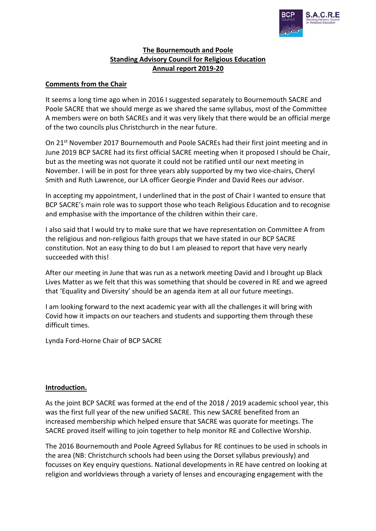

## **The Bournemouth and Poole Standing Advisory Council for Religious Education Annual report 2019-20**

## **Comments from the Chair**

It seems a long time ago when in 2016 I suggested separately to Bournemouth SACRE and Poole SACRE that we should merge as we shared the same syllabus, most of the Committee A members were on both SACREs and it was very likely that there would be an official merge of the two councils plus Christchurch in the near future.

On 21<sup>st</sup> November 2017 Bournemouth and Poole SACREs had their first joint meeting and in June 2019 BCP SACRE had its first official SACRE meeting when it proposed I should be Chair, but as the meeting was not quorate it could not be ratified until our next meeting in November. I will be in post for three years ably supported by my two vice-chairs, Cheryl Smith and Ruth Lawrence, our LA officer Georgie Pinder and David Rees our advisor.

In accepting my appointment, I underlined that in the post of Chair I wanted to ensure that BCP SACRE's main role was to support those who teach Religious Education and to recognise and emphasise with the importance of the children within their care.

I also said that I would try to make sure that we have representation on Committee A from the religious and non-religious faith groups that we have stated in our BCP SACRE constitution. Not an easy thing to do but I am pleased to report that have very nearly succeeded with this!

After our meeting in June that was run as a network meeting David and I brought up Black Lives Matter as we felt that this was something that should be covered in RE and we agreed that 'Equality and Diversity' should be an agenda item at all our future meetings.

I am looking forward to the next academic year with all the challenges it will bring with Covid how it impacts on our teachers and students and supporting them through these difficult times.

Lynda Ford-Horne Chair of BCP SACRE

#### **Introduction.**

As the joint BCP SACRE was formed at the end of the 2018 / 2019 academic school year, this was the first full year of the new unified SACRE. This new SACRE benefited from an increased membership which helped ensure that SACRE was quorate for meetings. The SACRE proved itself willing to join together to help monitor RE and Collective Worship.

The 2016 Bournemouth and Poole Agreed Syllabus for RE continues to be used in schools in the area (NB: Christchurch schools had been using the Dorset syllabus previously) and focusses on Key enquiry questions. National developments in RE have centred on looking at religion and worldviews through a variety of lenses and encouraging engagement with the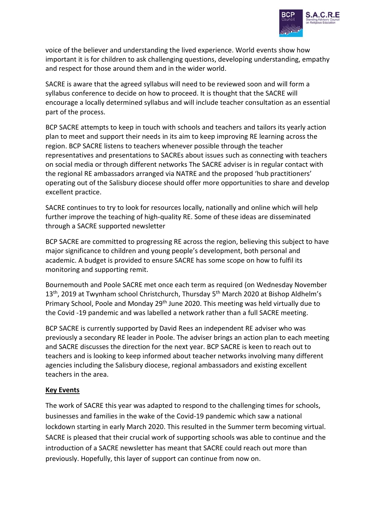

voice of the believer and understanding the lived experience. World events show how important it is for children to ask challenging questions, developing understanding, empathy and respect for those around them and in the wider world.

SACRE is aware that the agreed syllabus will need to be reviewed soon and will form a syllabus conference to decide on how to proceed. It is thought that the SACRE will encourage a locally determined syllabus and will include teacher consultation as an essential part of the process.

BCP SACRE attempts to keep in touch with schools and teachers and tailors its yearly action plan to meet and support their needs in its aim to keep improving RE learning across the region. BCP SACRE listens to teachers whenever possible through the teacher representatives and presentations to SACREs about issues such as connecting with teachers on social media or through different networks The SACRE adviser is in regular contact with the regional RE ambassadors arranged via NATRE and the proposed 'hub practitioners' operating out of the Salisbury diocese should offer more opportunities to share and develop excellent practice.

SACRE continues to try to look for resources locally, nationally and online which will help further improve the teaching of high-quality RE. Some of these ideas are disseminated through a SACRE supported newsletter

BCP SACRE are committed to progressing RE across the region, believing this subject to have major significance to children and young people's development, both personal and academic. A budget is provided to ensure SACRE has some scope on how to fulfil its monitoring and supporting remit.

Bournemouth and Poole SACRE met once each term as required (on Wednesday November 13<sup>th</sup>, 2019 at Twynham school Christchurch, Thursday 5<sup>th</sup> March 2020 at Bishop Aldhelm's Primary School, Poole and Monday 29<sup>th</sup> June 2020. This meeting was held virtually due to the Covid -19 pandemic and was labelled a network rather than a full SACRE meeting.

BCP SACRE is currently supported by David Rees an independent RE adviser who was previously a secondary RE leader in Poole. The adviser brings an action plan to each meeting and SACRE discusses the direction for the next year. BCP SACRE is keen to reach out to teachers and is looking to keep informed about teacher networks involving many different agencies including the Salisbury diocese, regional ambassadors and existing excellent teachers in the area.

## **Key Events**

The work of SACRE this year was adapted to respond to the challenging times for schools, businesses and families in the wake of the Covid-19 pandemic which saw a national lockdown starting in early March 2020. This resulted in the Summer term becoming virtual. SACRE is pleased that their crucial work of supporting schools was able to continue and the introduction of a SACRE newsletter has meant that SACRE could reach out more than previously. Hopefully, this layer of support can continue from now on.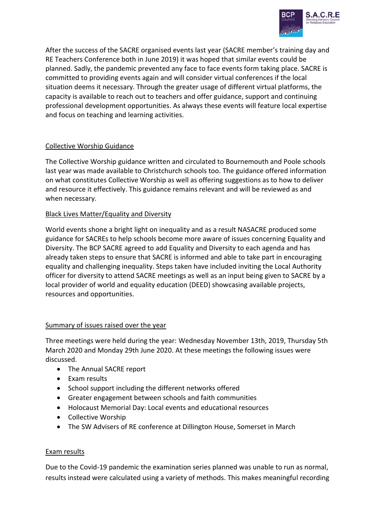

After the success of the SACRE organised events last year (SACRE member's training day and RE Teachers Conference both in June 2019) it was hoped that similar events could be planned. Sadly, the pandemic prevented any face to face events form taking place. SACRE is committed to providing events again and will consider virtual conferences if the local situation deems it necessary. Through the greater usage of different virtual platforms, the capacity is available to reach out to teachers and offer guidance, support and continuing professional development opportunities. As always these events will feature local expertise and focus on teaching and learning activities.

# Collective Worship Guidance

The Collective Worship guidance written and circulated to Bournemouth and Poole schools last year was made available to Christchurch schools too. The guidance offered information on what constitutes Collective Worship as well as offering suggestions as to how to deliver and resource it effectively. This guidance remains relevant and will be reviewed as and when necessary.

## Black Lives Matter/Equality and Diversity

World events shone a bright light on inequality and as a result NASACRE produced some guidance for SACREs to help schools become more aware of issues concerning Equality and Diversity. The BCP SACRE agreed to add Equality and Diversity to each agenda and has already taken steps to ensure that SACRE is informed and able to take part in encouraging equality and challenging inequality. Steps taken have included inviting the Local Authority officer for diversity to attend SACRE meetings as well as an input being given to SACRE by a local provider of world and equality education (DEED) showcasing available projects, resources and opportunities.

## Summary of issues raised over the year

Three meetings were held during the year: Wednesday November 13th, 2019, Thursday 5th March 2020 and Monday 29th June 2020. At these meetings the following issues were discussed.

- The Annual SACRE report
- Exam results
- School support including the different networks offered
- Greater engagement between schools and faith communities
- Holocaust Memorial Day: Local events and educational resources
- Collective Worship
- The SW Advisers of RE conference at Dillington House, Somerset in March

## Exam results

Due to the Covid-19 pandemic the examination series planned was unable to run as normal, results instead were calculated using a variety of methods. This makes meaningful recording